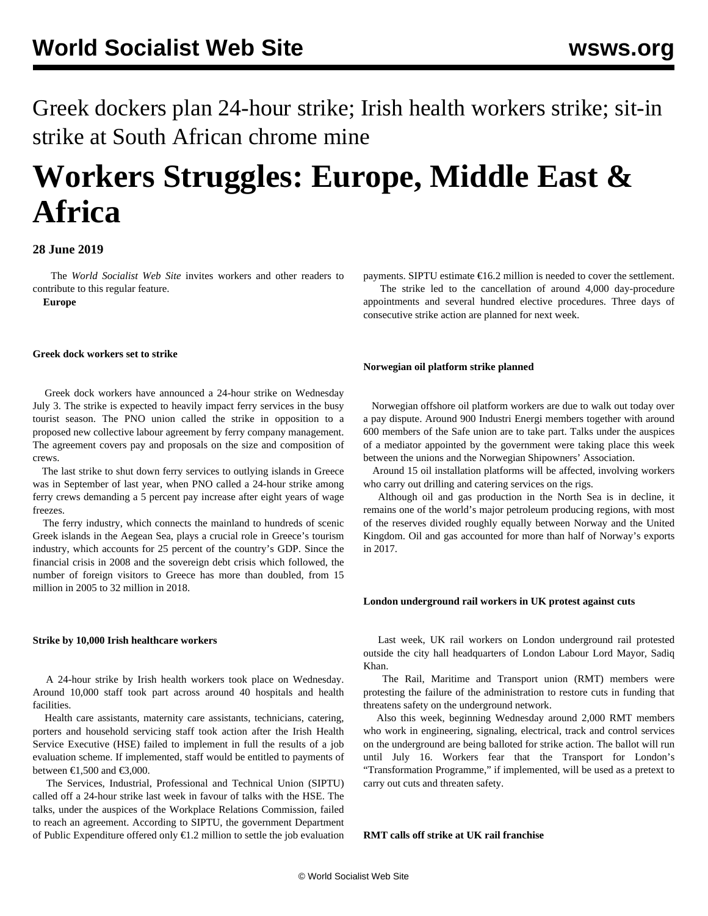Greek dockers plan 24-hour strike; Irish health workers strike; sit-in strike at South African chrome mine

# **Workers Struggles: Europe, Middle East & Africa**

# **28 June 2019**

 The *World Socialist Web Site* invites workers and other readers to [contribute](/wsws/dd-formmailer/dd-formmailer.php) to this regular feature.

**Europe**

#### **Greek dock workers set to strike**

 Greek dock workers have announced a 24-hour strike on Wednesday July 3. The strike is expected to heavily impact ferry services in the busy tourist season. The PNO union called the strike in opposition to a proposed new collective labour agreement by ferry company management. The agreement covers pay and proposals on the size and composition of crews.

 The last strike to shut down ferry services to outlying islands in Greece was in September of last year, when PNO called a 24-hour strike among ferry crews demanding a 5 percent pay increase after eight years of wage freezes.

 The ferry industry, which connects the mainland to hundreds of scenic Greek islands in the Aegean Sea, plays a crucial role in Greece's tourism industry, which accounts for 25 percent of the country's GDP. Since the financial crisis in 2008 and the sovereign debt crisis which followed, the number of foreign visitors to Greece has more than doubled, from 15 million in 2005 to 32 million in 2018.

#### **Strike by 10,000 Irish healthcare workers**

 A 24-hour strike by Irish health workers took place on Wednesday. Around 10,000 staff took part across around 40 hospitals and health facilities.

 Health care assistants, maternity care assistants, technicians, catering, porters and household servicing staff took action after the Irish Health Service Executive (HSE) failed to implement in full the results of a job evaluation scheme. If implemented, staff would be entitled to payments of between  $\text{€1,500}$  and  $\text{€3,000}$ .

 The Services, Industrial, Professional and Technical Union (SIPTU) called off a 24-hour strike last week in favour of talks with the HSE. The talks, under the auspices of the Workplace Relations Commission, failed to reach an agreement. According to SIPTU, the government Department of Public Expenditure offered only €1.2 million to settle the job evaluation payments. SIPTU estimate  $\epsilon$ 16.2 million is needed to cover the settlement. The strike led to the cancellation of around 4,000 day-procedure appointments and several hundred elective procedures. Three days of consecutive strike action are planned for next week.

#### **Norwegian oil platform strike planned**

 Norwegian offshore oil platform workers are due to walk out today over a pay dispute. Around 900 Industri Energi members together with around 600 members of the Safe union are to take part. Talks under the auspices of a mediator appointed by the government were taking place this week between the unions and the Norwegian Shipowners' Association.

 Around 15 oil installation platforms will be affected, involving workers who carry out drilling and catering services on the rigs.

 Although oil and gas production in the North Sea is in decline, it remains one of the world's major petroleum producing regions, with most of the reserves divided roughly equally between Norway and the United Kingdom. Oil and gas accounted for more than half of Norway's exports in 2017.

#### **London underground rail workers in UK protest against cuts**

 Last week, UK rail workers on London underground rail protested outside the city hall headquarters of London Labour Lord Mayor, Sadiq Khan.

 The Rail, Maritime and Transport union (RMT) members were protesting the failure of the administration to restore cuts in funding that threatens safety on the underground network.

 Also this week, beginning Wednesday around 2,000 RMT members who work in engineering, signaling, electrical, track and control services on the underground are being balloted for strike action. The ballot will run until July 16. Workers fear that the Transport for London's "Transformation Programme," if implemented, will be used as a pretext to carry out cuts and threaten safety.

# **RMT calls off strike at UK rail franchise**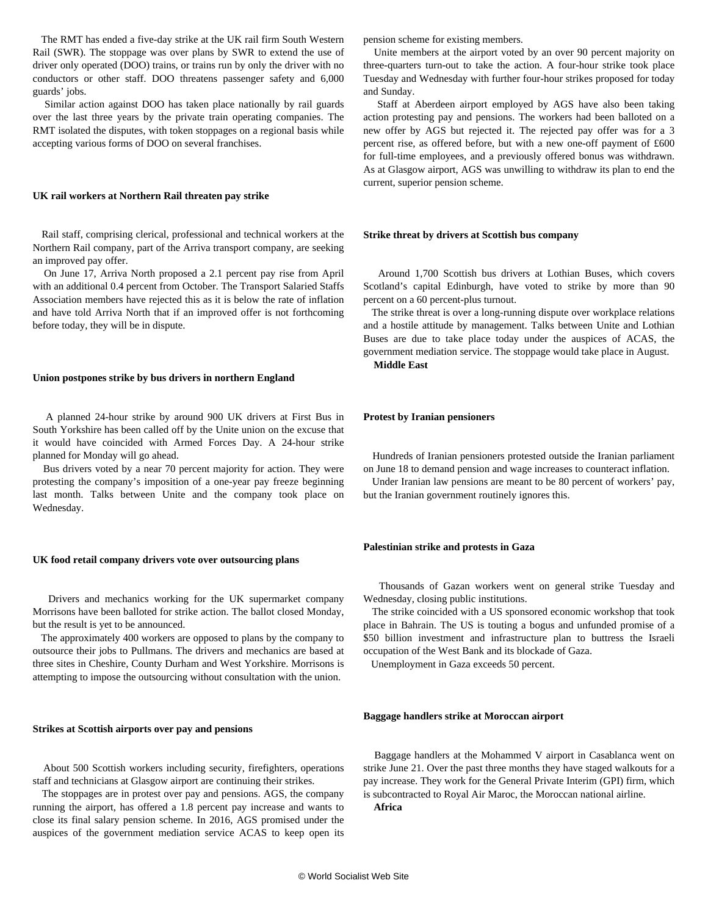The RMT has ended a five-day strike at the UK rail firm South Western Rail (SWR). The stoppage was over plans by SWR to extend the use of driver only operated (DOO) trains, or trains run by only the driver with no conductors or other staff. DOO threatens passenger safety and 6,000 guards' jobs.

 Similar action against DOO has taken place nationally by rail guards over the last three years by the private train operating companies. The RMT isolated the disputes, with token stoppages on a regional basis while accepting various forms of DOO on several franchises.

## **UK rail workers at Northern Rail threaten pay strike**

 Rail staff, comprising clerical, professional and technical workers at the Northern Rail company, part of the Arriva transport company, are seeking an improved pay offer.

 On June 17, Arriva North proposed a 2.1 percent pay rise from April with an additional 0.4 percent from October. The Transport Salaried Staffs Association members have rejected this as it is below the rate of inflation and have told Arriva North that if an improved offer is not forthcoming before today, they will be in dispute.

#### **Union postpones strike by bus drivers in northern England**

 A planned 24-hour strike by around 900 UK drivers at First Bus in South Yorkshire has been called off by the Unite union on the excuse that it would have coincided with Armed Forces Day. A 24-hour strike planned for Monday will go ahead.

 Bus drivers voted by a near 70 percent majority for action. They were protesting the company's imposition of a one-year pay freeze beginning last month. Talks between Unite and the company took place on Wednesday.

#### **UK food retail company drivers vote over outsourcing plans**

 Drivers and mechanics working for the UK supermarket company Morrisons have been balloted for strike action. The ballot closed Monday, but the result is yet to be announced.

 The approximately 400 workers are opposed to plans by the company to outsource their jobs to Pullmans. The drivers and mechanics are based at three sites in Cheshire, County Durham and West Yorkshire. Morrisons is attempting to impose the outsourcing without consultation with the union.

#### **Strikes at Scottish airports over pay and pensions**

 About 500 Scottish workers including security, firefighters, operations staff and technicians at Glasgow airport are continuing their strikes.

 The stoppages are in protest over pay and pensions. AGS, the company running the airport, has offered a 1.8 percent pay increase and wants to close its final salary pension scheme. In 2016, AGS promised under the auspices of the government mediation service ACAS to keep open its

pension scheme for existing members.

 Unite members at the airport voted by an over 90 percent majority on three-quarters turn-out to take the action. A four-hour strike took place Tuesday and Wednesday with further four-hour strikes proposed for today and Sunday.

 Staff at Aberdeen airport employed by AGS have also been taking action protesting pay and pensions. The workers had been balloted on a new offer by AGS but rejected it. The rejected pay offer was for a 3 percent rise, as offered before, but with a new one-off payment of £600 for full-time employees, and a previously offered bonus was withdrawn. As at Glasgow airport, AGS was unwilling to withdraw its plan to end the current, superior pension scheme.

#### **Strike threat by drivers at Scottish bus company**

 Around 1,700 Scottish bus drivers at Lothian Buses, which covers Scotland's capital Edinburgh, have voted to strike by more than 90 percent on a 60 percent-plus turnout.

 The strike threat is over a long-running dispute over workplace relations and a hostile attitude by management. Talks between Unite and Lothian Buses are due to take place today under the auspices of ACAS, the government mediation service. The stoppage would take place in August.

**Middle East**

#### **Protest by Iranian pensioners**

 Hundreds of Iranian pensioners protested outside the Iranian parliament on June 18 to demand pension and wage increases to counteract inflation.

 Under Iranian law pensions are meant to be 80 percent of workers' pay, but the Iranian government routinely ignores this.

#### **Palestinian strike and protests in Gaza**

 Thousands of Gazan workers went on general strike Tuesday and Wednesday, closing public institutions.

 The strike coincided with a US sponsored economic workshop that took place in Bahrain. The US is touting a bogus and unfunded promise of a \$50 billion investment and infrastructure plan to buttress the Israeli occupation of the West Bank and its blockade of Gaza.

Unemployment in Gaza exceeds 50 percent.

#### **Baggage handlers strike at Moroccan airport**

 Baggage handlers at the Mohammed V airport in Casablanca went on strike June 21. Over the past three months they have staged walkouts for a pay increase. They work for the General Private Interim (GPI) firm, which is subcontracted to Royal Air Maroc, the Moroccan national airline.

**Africa**